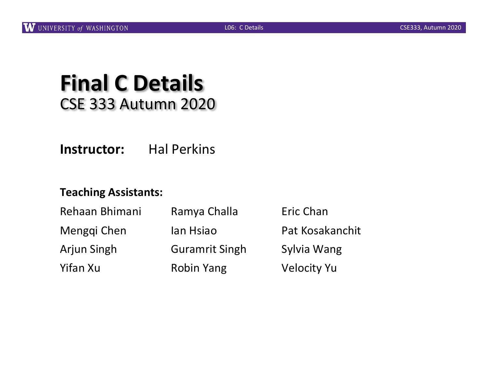# **Final C Details** CSE 333 Autumn 2020

**Instructor:** Hal Perkins

#### **Teaching Assistants:**

| Rehaan Bhimani     | Ramya Challa          | Eric Chan          |
|--------------------|-----------------------|--------------------|
| Menggi Chen        | lan Hsiao             | Pat Kosakanchit    |
| <b>Arjun Singh</b> | <b>Guramrit Singh</b> | Sylvia Wang        |
| Yifan Xu           | <b>Robin Yang</b>     | <b>Velocity Yu</b> |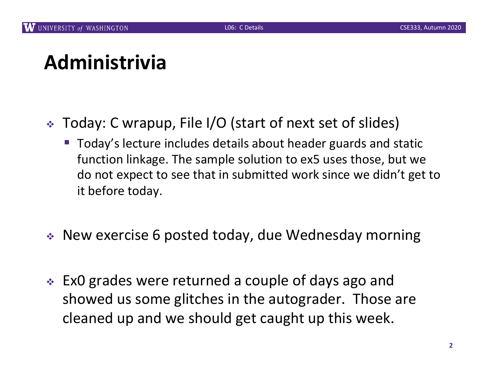# **Administrivia**

- <sup>v</sup> Today: C wrapup, File I/O (start of next set of slides)
	- Today's lecture includes details about header guards and static function linkage. The sample solution to ex5 uses those, but we do not expect to see that in submitted work since we didn't get to it before today.
- $\triangleq$  New exercise 6 posted today, due Wednesday morning
- $\cdot$  ExO grades were returned a couple of days ago and showed us some glitches in the autograder. Those are cleaned up and we should get caught up this week.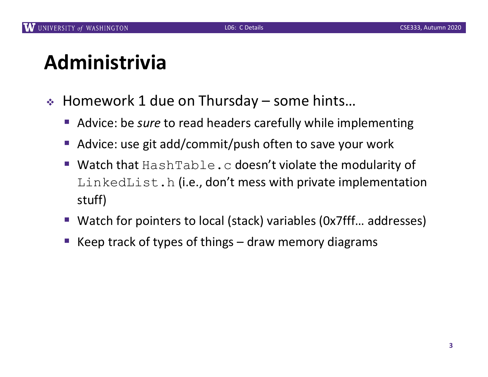# **Administrivia**

- $\div$  Homework 1 due on Thursday some hints...
	- Advice: be *sure* to read headers carefully while implementing
	- Advice: use git add/commit/push often to save your work
	- Watch that HashTable.c doesn't violate the modularity of LinkedList.h (i.e., don't mess with private implementation stuff)
	- Watch for pointers to local (stack) variables (0x7fff... addresses)
	- Keep track of types of things  $-$  draw memory diagrams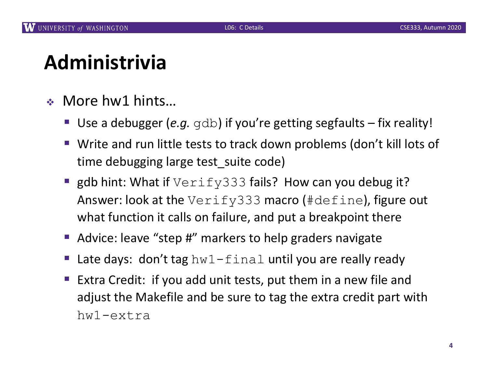# **Administrivia**

- $\bullet$  More hw1 hints...
	- Use a debugger (*e.g.* gdb) if you're getting segfaults fix reality!
	- Write and run little tests to track down problems (don't kill lots of time debugging large test\_suite code)
	- **gdb hint: What if**  $Verify333$  fails? How can you debug it? Answer: look at the Verify333 macro (#define), figure out what function it calls on failure, and put a breakpoint there
	- Advice: leave "step #" markers to help graders navigate
	- Late days: don't tag  $hwl-final$  until you are really ready
	- Extra Credit: if you add unit tests, put them in a new file and adjust the Makefile and be sure to tag the extra credit part with hw1-extra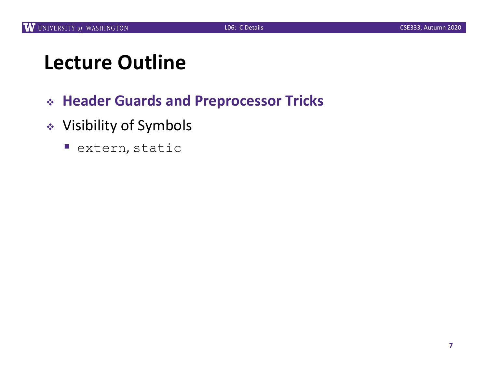# **Lecture Outline**

- <sup>v</sup> **Header Guards and Preprocessor Tricks**
- <sup>v</sup> Visibility of Symbols
	- extern, static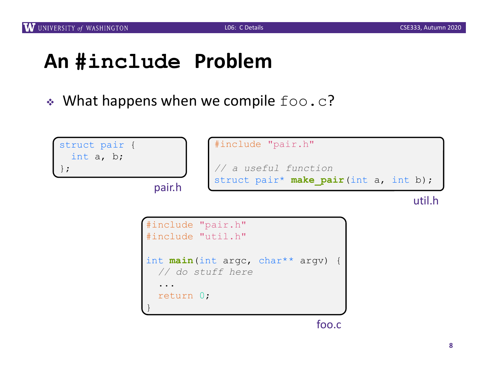# **An #include Problem**

 $\cdot$  What happens when we compile  $f \circ \circ \cdot c$ ?

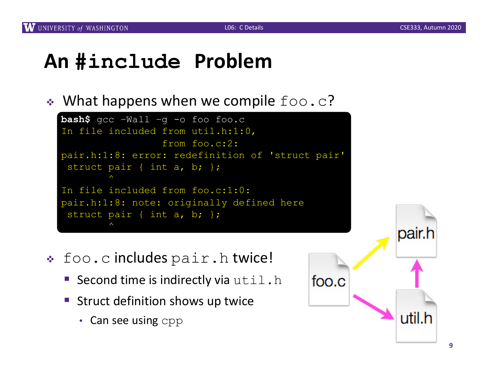## **An #include Problem**

 $\bullet$  What happens when we compile  $f \circ \circ \circ$ .



- $\div$  foo.c includes  $pair.h$  twice!
	- Second time is indirectly via  $util.h$
	- Struct definition shows up twice
		- Can see using cpp

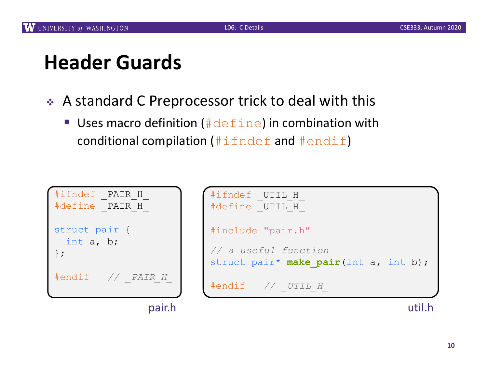# **Header Guards**

- ◆ A standard C Preprocessor trick to deal with this
	- Uses macro definition ( $\#$ define) in combination with conditional compilation  $(\#\texttt{i}$  fndef and  $\#\texttt{endif}$ )

| #ifndef<br>#define                   | PAIR H<br>PAIR H |
|--------------------------------------|------------------|
| struct pair {<br>int a, b;<br>$\}$ ; |                  |
| #endif                               | // PAIR H        |
|                                      |                  |

|         | #ifndef _UTIL_H<br>#define UTIL H                             |
|---------|---------------------------------------------------------------|
|         | #include "pair.h"                                             |
|         | // a useful function<br>struct pair* make pair(int a, int b); |
| $R$ $H$ | #endif // UTIL H                                              |
| pair.h  |                                                               |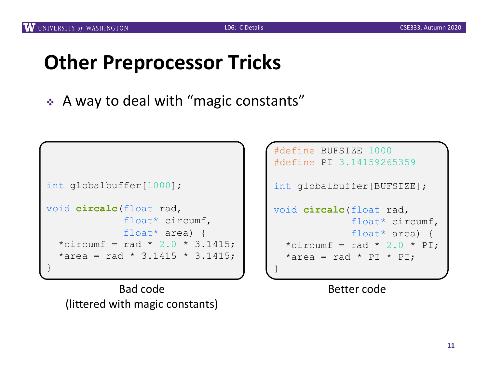# **Other Preprocessor Tricks**

◆ A way to deal with "magic constants"

```
int globalbuffer[1000];
void circalc(float rad,
             float* circumf,
             float* area) {
  *circumf = rad * 2.0 * 3.1415;
  *area = rad * 3.1415 * 3.1415;
}
```
Bad code (littered with magic constants)

```
#define BUFSIZE 1000
#define PI 3.14159265359
int globalbuffer[BUFSIZE];
void circalc(float rad,
             float* circumf,
             float* area) {
  *circumf = rad * 2.0 * PI;
  *area = rad * PI * PI;
}
```
Better code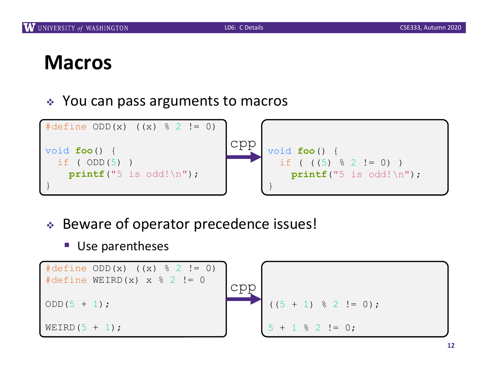### **Macros**

 $\div$  You can pass arguments to macros



- ◆ Beware of operator precedence issues!
	- Use parentheses

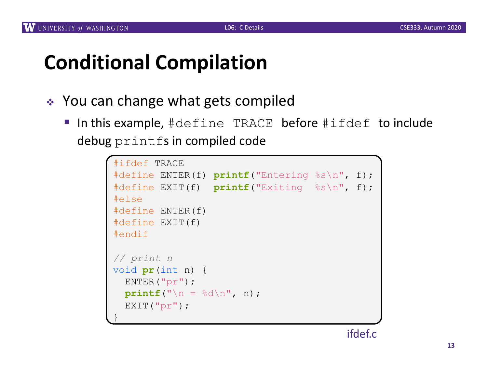# **Conditional Compilation**

- ◆ You can change what gets compiled
	- In this example, #define TRACE before #ifdef to include debug printfs in compiled code

```
#ifdef TRACE
#define ENTER(f) printf("Entering %s\n", f);
#define EXIT(f) printf("Exiting %s\n", f);
#else
#define ENTER(f) 
#define EXIT(f)
#endif
// print n
void pr(int n) {
 ENTER("pr");
 printf("\n = %d\n", n);
  EXIT("pr");
}
```
ifdef.c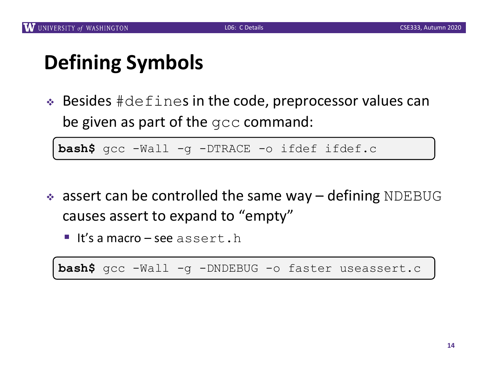# **Defining Symbols**

 $\triangle$  Besides  $\#\text{defines}$  in the code, preprocessor values can be given as part of the gcc command:

**bash\$** gcc -Wall -g -DTRACE -o ifdef ifdef.c

- $\bullet$  assert can be controlled the same way defining NDEBUG causes assert to expand to "empty"
	- $\blacksquare$  It's a macro see assert.h

**bash\$** gcc -Wall -g -DNDEBUG -o faster useassert.c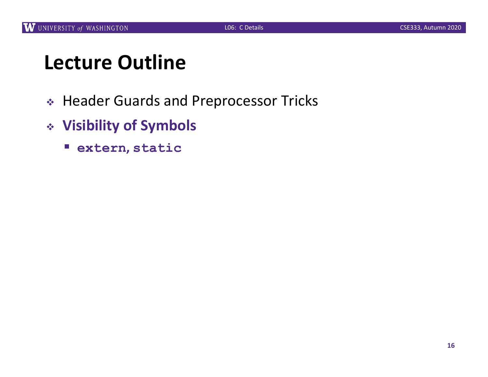# **Lecture Outline**

- <sup>v</sup> Header Guards and Preprocessor Tricks
- <sup>v</sup> **Visibility of Symbols**
	- § **extern, static**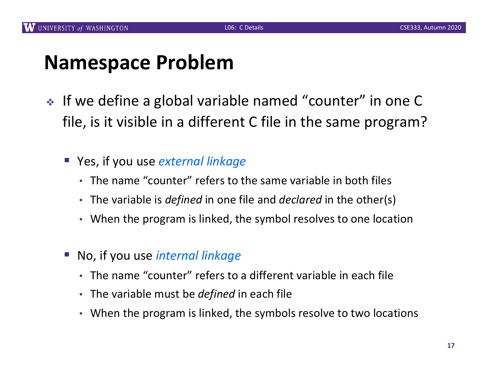## **Namespace Problem**

- <sup>v</sup> If we define a global variable named "counter" in one C file, is it visible in a different C file in the same program?
	- Yes, if you use *external linkage* 
		- The name "counter" refers to the same variable in both files
		- The variable is *defined* in one file and *declared* in the other(s)
		- When the program is linked, the symbol resolves to one location
	- § No, if you use *internal linkage*
		- The name "counter" refers to a different variable in each file
		- The variable must be *defined* in each file
		- When the program is linked, the symbols resolve to two locations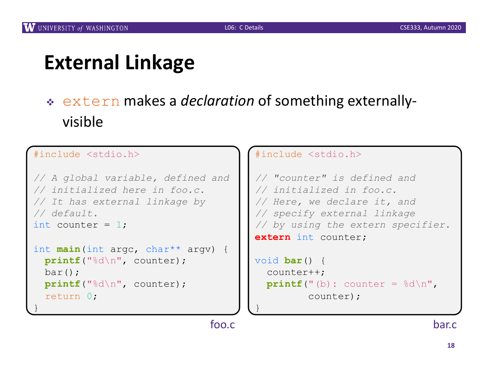# **External Linkage**

### <sup>v</sup> extern makes a *declaration* of something externallyvisible

#### #include <stdio.h>

}

```
// A global variable, defined and
// initialized here in foo.c.
// It has external linkage by
// default.
int counter = 1;
int main(int argc, char** argv) {
 printf("%d\n", counter);
```

```
bar();
printf("%d\n", counter);
return 0;
```
#### #include <stdio.h> *// "counter" is defined and // initialized in foo.c. // Here, we declare it, and // specify external linkage // by using the extern specifier.* **extern** int counter;

```
void bar() {
  counter++;
  printf("b): counter = <math>\frac{1}{6}d\pi</math>,counter);
```
foo.c

}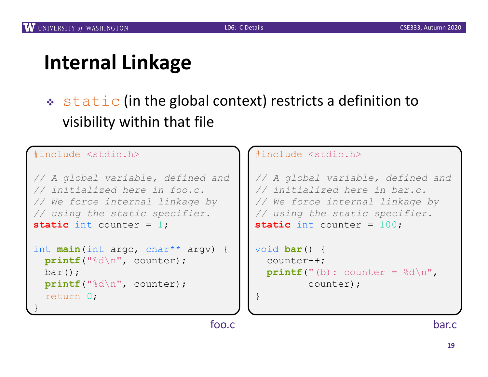# **Internal Linkage**

 $\cdot$  static (in the global context) restricts a definition to visibility within that file

#### #include <stdio.h>

}

```
// A global variable, defined and
// initialized here in foo.c.
// We force internal linkage by
// using the static specifier.
static int counter = 1;
```

```
int main(int argc, char** argv) {
 printf("%d\n", counter);
 bar();
 printf("%d\n", counter);
  return 0;
```
#### #include <stdio.h>

```
// A global variable, defined and
// initialized here in bar.c.
// We force internal linkage by
// using the static specifier.
static int counter = 100;
```

```
void bar() {
  counter++;
  printf("b): counter = <math>\frac{8d}{n}</math>,counter);
```
foo.c

}

bar.c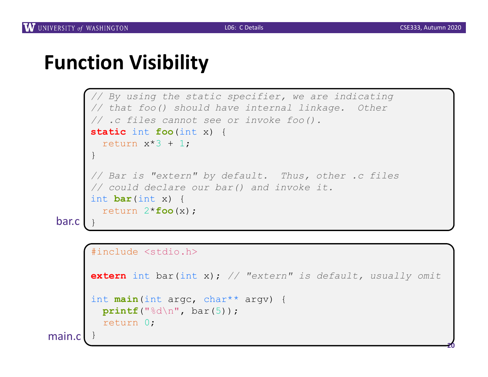**20**

### **Function Visibility**

```
// By using the static specifier, we are indicating
// that foo() should have internal linkage. Other
// .c files cannot see or invoke foo().
static int foo(int x) {
 return x*3 + 1;
}
// Bar is "extern" by default. Thus, other .c files
// could declare our bar() and invoke it.
int bar(int x) {
 return 2*foo(x);
```

```
#include <stdio.h>
```

```
extern int bar(int x); // "extern" is default, usually omit
```

```
int main(int argc, char** argv) {
 printf("%d\n", bar(5));
  return 0;
```
main.c

bar.c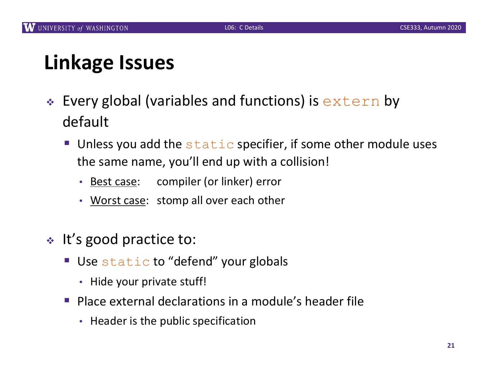# **Linkage Issues**

- $\cdot$  Every global (variables and functions) is  $ext{error}$  by default
	- **Unless you add the static specifier, if some other module uses** the same name, you'll end up with a collision!
		- Best case: compiler (or linker) error
		- Worst case: stomp all over each other
- $\cdot$  It's good practice to:
	- Use static to "defend" your globals
		- Hide your private stuff!
	- § Place external declarations in a module's header file
		- Header is the public specification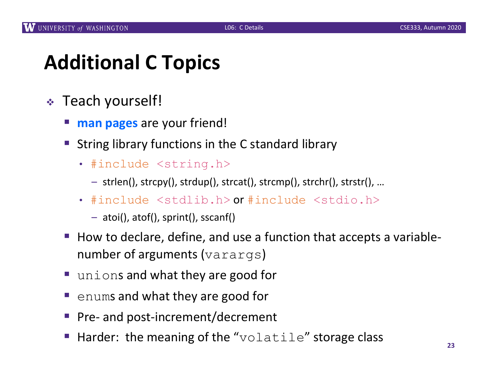# **Additional C Topics**

- <sup>v</sup> Teach yourself!
	- **man pages** are your friend!
	- String library functions in the C standard library
		- #include <string.h>
			- strlen(), strcpy(), strdup(), strcat(), strcmp(), strchr(), strstr(), …
		- #include <stdlib.h> or #include <stdio.h>
			- atoi(), atof(), sprint(), sscanf()
	- How to declare, define, and use a function that accepts a variablenumber of arguments (varargs)
	- unions and what they are good for
	- enums and what they are good for
	- § Pre- and post-increment/decrement
	- Harder: the meaning of the "volatile" storage class  $\frac{23}{23}$